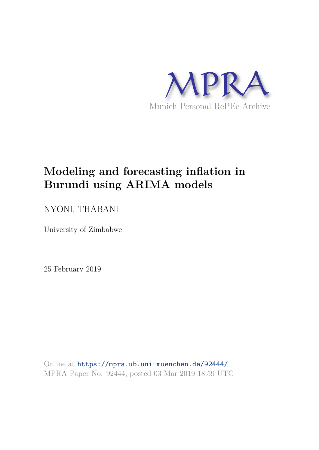

# **Modeling and forecasting inflation in Burundi using ARIMA models**

# NYONI, THABANI

University of Zimbabwe

25 February 2019

Online at https://mpra.ub.uni-muenchen.de/92444/ MPRA Paper No. 92444, posted 03 Mar 2019 18:59 UTC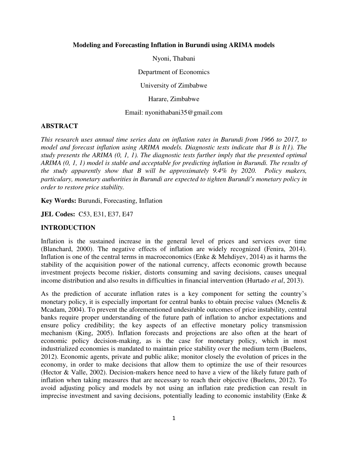#### **Modeling and Forecasting Inflation in Burundi using ARIMA models**

Nyoni, Thabani

Department of Economics

University of Zimbabwe

Harare, Zimbabwe

Email: nyonithabani35@gmail.com

#### **ABSTRACT**

*This research uses annual time series data on inflation rates in Burundi from 1966 to 2017, to model and forecast inflation using ARIMA models. Diagnostic tests indicate that B is I(1). The study presents the ARIMA (0, 1, 1). The diagnostic tests further imply that the presented optimal ARIMA (0, 1, 1) model is stable and acceptable for predicting inflation in Burundi. The results of the study apparently show that B will be approximately 9.4% by 2020. Policy makers, particulary, monetary authorities in Burundi are expected to tighten Burundi's monetary policy in order to restore price stability.* 

**Key Words:** Burundi, Forecasting, Inflation

**JEL Codes:** C53, E31, E37, E47

# **INTRODUCTION**

Inflation is the sustained increase in the general level of prices and services over time (Blanchard, 2000). The negative effects of inflation are widely recognized (Fenira, 2014). Inflation is one of the central terms in macroeconomics (Enke & Mehdiyev, 2014) as it harms the stability of the acquisition power of the national currency, affects economic growth because investment projects become riskier, distorts consuming and saving decisions, causes unequal income distribution and also results in difficulties in financial intervention (Hurtado *et al*, 2013).

As the prediction of accurate inflation rates is a key component for setting the country's monetary policy, it is especially important for central banks to obtain precise values (Mcnelis  $\&$ Mcadam, 2004). To prevent the aforementioned undesirable outcomes of price instability, central banks require proper understanding of the future path of inflation to anchor expectations and ensure policy credibility; the key aspects of an effective monetary policy transmission mechanism (King, 2005). Inflation forecasts and projections are also often at the heart of economic policy decision-making, as is the case for monetary policy, which in most industrialized economies is mandated to maintain price stability over the medium term (Buelens, 2012). Economic agents, private and public alike; monitor closely the evolution of prices in the economy, in order to make decisions that allow them to optimize the use of their resources (Hector & Valle, 2002). Decision-makers hence need to have a view of the likely future path of inflation when taking measures that are necessary to reach their objective (Buelens, 2012). To avoid adjusting policy and models by not using an inflation rate prediction can result in imprecise investment and saving decisions, potentially leading to economic instability (Enke &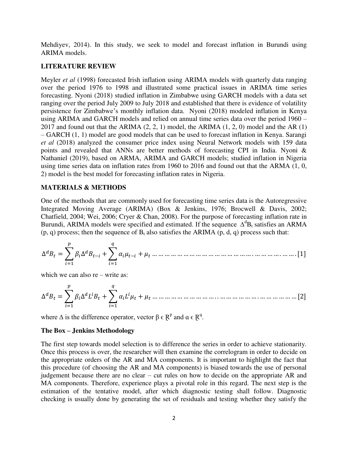Mehdiyev, 2014). In this study, we seek to model and forecast inflation in Burundi using ARIMA models.

#### **LITERATURE REVIEW**

Meyler *et al* (1998) forecasted Irish inflation using ARIMA models with quarterly data ranging over the period 1976 to 1998 and illustrated some practical issues in ARIMA time series forecasting. Nyoni (2018) studied inflation in Zimbabwe using GARCH models with a data set ranging over the period July 2009 to July 2018 and established that there is evidence of volatility persistence for Zimbabwe's monthly inflation data. Nyoni (2018) modeled inflation in Kenya using ARIMA and GARCH models and relied on annual time series data over the period 1960 – 2017 and found out that the ARIMA  $(2, 2, 1)$  model, the ARIMA  $(1, 2, 0)$  model and the AR  $(1)$ – GARCH (1, 1) model are good models that can be used to forecast inflation in Kenya. Sarangi *et al* (2018) analyzed the consumer price index using Neural Network models with 159 data points and revealed that ANNs are better methods of forecasting CPI in India. Nyoni & Nathaniel (2019), based on ARMA, ARIMA and GARCH models; studied inflation in Nigeria using time series data on inflation rates from 1960 to 2016 and found out that the ARMA (1, 0, 2) model is the best model for forecasting inflation rates in Nigeria.

#### **MATERIALS & METHODS**

One of the methods that are commonly used for forecasting time series data is the Autoregressive Integrated Moving Average (ARIMA) (Box & Jenkins, 1976; Brocwell & Davis, 2002; Chatfield, 2004; Wei, 2006; Cryer & Chan, 2008). For the purpose of forecasting inflation rate in Burundi, ARIMA models were specified and estimated. If the sequence  $\Delta^d B_t$  satisfies an ARMA  $(p, q)$  process; then the sequence of  $B_t$  also satisfies the ARIMA  $(p, d, q)$  process such that:

∆ = ∑ ∆ − + =1 ∑ − =1 + … … … … … … … … … … … … … … … … . … … … … . … … . [1]

which we can also re – write as:

∆ = ∑ ∆ =1 + ∑ =1 + … … … … … … … … … … . . … … … … … … . … … … … … … [2]

where  $\Delta$  is the difference operator, vector  $\beta \in \mathbb{R}^p$  and  $\alpha \in \mathbb{R}^q$ .

#### **The Box – Jenkins Methodology**

The first step towards model selection is to difference the series in order to achieve stationarity. Once this process is over, the researcher will then examine the correlogram in order to decide on the appropriate orders of the AR and MA components. It is important to highlight the fact that this procedure (of choosing the AR and MA components) is biased towards the use of personal judgement because there are no clear – cut rules on how to decide on the appropriate AR and MA components. Therefore, experience plays a pivotal role in this regard. The next step is the estimation of the tentative model, after which diagnostic testing shall follow. Diagnostic checking is usually done by generating the set of residuals and testing whether they satisfy the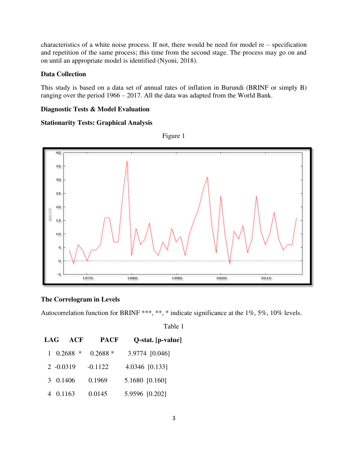characteristics of a white noise process. If not, there would be need for model  $re$  – specification and repetition of the same process; this time from the second stage. The process may go on and on until an appropriate model is identified (Nyoni, 2018).

# **Data Collection**

This study is based on a data set of annual rates of inflation in Burundi (BRINF or simply B) ranging over the period 1966 – 2017. All the data was adapted from the World Bank.

### **Diagnostic Tests & Model Evaluation**

# **Stationarity Tests: Graphical Analysis**



Figure 1

# **The Correlogram in Levels**

Autocorrelation function for BRINF \*\*\*, \*\*, \* indicate significance at the 1%, 5%, 10% levels.

Table 1

| LAG         | ACF                | <b>PACF</b> | Q-stat. [p-value] |
|-------------|--------------------|-------------|-------------------|
|             | $1 \quad 0.2688$ * | $0.2688*$   | 3.9774 [0.046]    |
| $2 -0.0319$ |                    | $-0.1122$   | 4.0346 [0.133]    |
| 3 0.1406    |                    | 0.1969      | 5.1680 [0.160]    |
| 4 0.1163    |                    | 0.0145      | 5.9596 [0.202]    |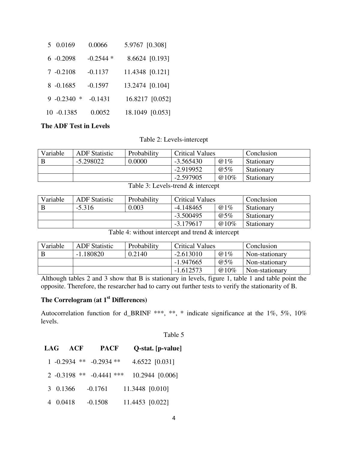| 5 0.0169      | 0.0066     | 5.9767 [0.308]  |
|---------------|------------|-----------------|
| $6 - 0.2098$  | $-0.2544*$ | 8.6624 [0.193]  |
| $7 - 0.2108$  | $-0.1137$  | 11.4348 [0.121] |
| $8 - 0.1685$  | $-0.1597$  | 13.2474 [0.104] |
| $9 -0.2340$ * | $-0.1431$  | 16.8217 [0.052] |
| $10 - 0.1385$ | 0.0052     | 18.1049 [0.053] |

# **The ADF Test in Levels**

Table 2: Levels-intercept

| Variable | <b>ADF</b> Statistic | Probability | <b>Critical Values</b> |         | Conclusion |
|----------|----------------------|-------------|------------------------|---------|------------|
|          | $-5.298022$          | 0.0000      | $-3.565430$            | @1%     | Stationary |
|          |                      |             | $-2.919952$            | @5%     | Stationary |
|          |                      |             | $-2.597905$            | $@10\%$ | Stationary |

Table 3: Levels-trend & intercept

| Variable | <b>ADF</b> Statistic | Probability | <b>Critical Values</b> |      | Conclusion |
|----------|----------------------|-------------|------------------------|------|------------|
|          | $-5.316$             | 0.003       | $-4.148465$            | @1%  | Stationary |
|          |                      |             | $-3.500495$            | @5%  | Stationary |
|          |                      |             | $-3.179617$            | @10% | Stationary |

Table 4: without intercept and trend & intercept

| Variable | <b>ADF</b> Statistic | Probability | <b>Critical Values</b> |         | Conclusion     |
|----------|----------------------|-------------|------------------------|---------|----------------|
| B        | $-1.180820$          | 0.2140      | $-2.613010$            | @1%     | Non-stationary |
|          |                      |             | $-1.947665$            | @5%     | Non-stationary |
|          |                      |             | $-1.612573$            | $@10\%$ | Non-stationary |

Although tables 2 and 3 show that B is stationary in levels, figure 1, table 1 and table point the opposite. Therefore, the researcher had to carry out further tests to verify the stationarity of B.

# **The Correlogram (at 1st Differences)**

Autocorrelation function for d\_BRINF \*\*\*, \*\*, \* indicate significance at the 1%, 5%, 10% levels.

| anle |  |  |  |
|------|--|--|--|
|------|--|--|--|

| LAG      | ACF            | <b>PACF</b>                  | Q-stat. [p-value] |
|----------|----------------|------------------------------|-------------------|
|          |                | $1 - 0.2934$ ** $-0.2934$ ** | 4.6522 [0.031]    |
|          | $2 -0.3198$ ** | $-0.4441$ ***                | 10.2944 [0.006]   |
| 3 0.1366 |                | $-0.1761$                    | 11.3448 [0.010]   |
|          | 0.0418         | $-0.1508$                    | 11.4453 [0.022]   |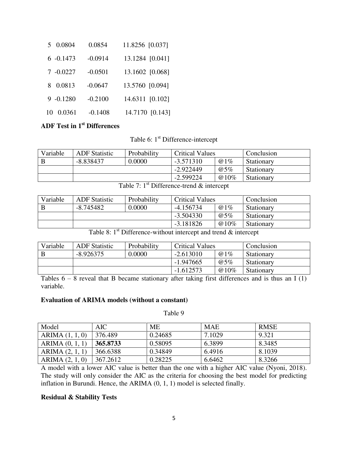| 5 0.0804     | 0.0854    | 11.8256 [0.037] |
|--------------|-----------|-----------------|
| $6 - 0.1473$ | $-0.0914$ | 13.1284 [0.041] |
| $7 -0.0227$  | $-0.0501$ | 13.1602 [0.068] |
| 0.0813<br>8. | $-0.0647$ | 13.5760 [0.094] |
| $9 - 0.1280$ | $-0.2100$ | 14.6311 [0.102] |
| 0.0361<br>10 | $-0.1408$ | 14.7170 [0.143] |

# **ADF Test in 1st Differences**

Table 6: 1<sup>st</sup> Difference-intercept

| Variable | <b>ADF</b> Statistic | Probability | <b>Critical Values</b> |         | Conclusion |
|----------|----------------------|-------------|------------------------|---------|------------|
|          | $-8.838437$          | 0.0000      | -3.571310              | @1%     | Stationary |
|          |                      |             | $-2.922449$            | @5%     | Stationary |
|          |                      |             | $-2.599224$            | $@10\%$ | Stationary |

Table 7:  $1^{\text{st}}$  Difference-trend  $\&$  intercept

| Variable | <b>ADF</b> Statistic | Probability | <b>Critical Values</b> |      | Conclusion        |
|----------|----------------------|-------------|------------------------|------|-------------------|
|          | $-8.745482$          | 0.0000      | $-4.156734$            | @1%  | Stationary        |
|          |                      |             | $-3.504330$            | @5%  | Stationary        |
|          |                      |             | $-3.181826$            | @10% | <b>Stationary</b> |

Table 8: 1<sup>st</sup> Difference-without intercept and trend & intercept

| Variable | <b>ADF</b> Statistic | Probability | <b>Critical Values</b> |      | Conclusion |
|----------|----------------------|-------------|------------------------|------|------------|
|          | $-8.926375$          | 0.0000      | $-2.613010$            | @1%  | Stationary |
|          |                      |             | $-1.947665$            | @5%  | Stationary |
|          |                      |             | $-1.612573$            | @10% | Stationary |

Tables  $6 - 8$  reveal that B became stationary after taking first differences and is thus an I (1) variable.

# **Evaluation of ARIMA models (without a constant)**

Table 9

| Model           | <b>AIC</b> | МE      | <b>MAE</b> | <b>RMSE</b> |
|-----------------|------------|---------|------------|-------------|
| ARIMA (1, 1, 0) | 376.489    | 0.24685 | 7.1029     | 9.321       |
| ARIMA (0, 1, 1) | 365.8733   | 0.58095 | 6.3899     | 8.3485      |
| ARIMA (2, 1, 1) | 366.6388   | 0.34849 | 6.4916     | 8.1039      |
| ARIMA (2, 1, 0) | 367.2612   | 0.28225 | 6.6462     | 8.3266      |

A model with a lower AIC value is better than the one with a higher AIC value (Nyoni, 2018). The study will only consider the AIC as the criteria for choosing the best model for predicting inflation in Burundi. Hence, the ARIMA (0, 1, 1) model is selected finally.

# **Residual & Stability Tests**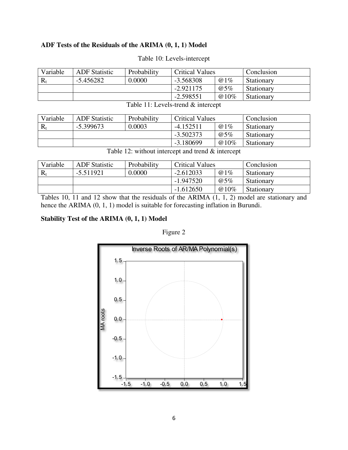# **ADF Tests of the Residuals of the ARIMA (0, 1, 1) Model**

| Variable | <b>ADF</b> Statistic | Probability | <b>Critical Values</b> |      | Conclusion |
|----------|----------------------|-------------|------------------------|------|------------|
|          | $-5.456282$          | 0.0000      | $-3.568308$            | @1%  | Stationary |
|          |                      |             | $-2.921175$            | @5%  | Stationary |
|          |                      |             | $-2.598551$            | @10% | Stationary |

# Table 10: Levels-intercept

| Table 11: Levels-trend & intercept |  |
|------------------------------------|--|
|------------------------------------|--|

| Variable | <b>ADF</b> Statistic | Probability | <b>Critical Values</b> |      | Conclusion |
|----------|----------------------|-------------|------------------------|------|------------|
|          | $-5.399673$          | 0.0003      | -4.152511              | @1%  | Stationary |
|          |                      |             | $-3.502373$            | @5%  | Stationary |
|          |                      |             | $-3.180699$            | @10% | Stationary |

| Variable | <b>ADF</b> Statistic | Probability | <b>Critical Values</b> |      | Conclusion |
|----------|----------------------|-------------|------------------------|------|------------|
|          | $-5.511921$          | 0.0000      | $-2.612033$            | @1%  | Stationary |
|          |                      |             | $-1.947520$            | @5%  | Stationary |
|          |                      |             | $-1.612650$            | @10% | Stationary |

Tables 10, 11 and 12 show that the residuals of the ARIMA (1, 1, 2) model are stationary and hence the ARIMA (0, 1, 1) model is suitable for forecasting inflation in Burundi.

# **Stability Test of the ARIMA (0, 1, 1) Model**

# Figure 2

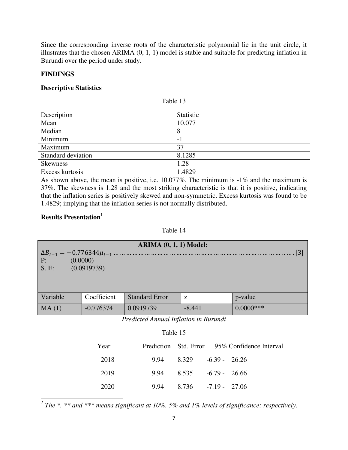Since the corresponding inverse roots of the characteristic polynomial lie in the unit circle, it illustrates that the chosen ARIMA (0, 1, 1) model is stable and suitable for predicting inflation in Burundi over the period under study.

#### **FINDINGS**

# **Descriptive Statistics**

| Description        | Statistic |
|--------------------|-----------|
| Mean               | 10.077    |
| Median             | 8         |
| Minimum            | $\sim$ .  |
| Maximum            | 37        |
| Standard deviation | 8.1285    |
| <b>Skewness</b>    | 1.28      |
| Excess kurtosis    | 1.4829    |

Table 13

As shown above, the mean is positive, i.e. 10.077%. The minimum is -1% and the maximum is 37%. The skewness is 1.28 and the most striking characteristic is that it is positive, indicating that the inflation series is positively skewed and non-symmetric. Excess kurtosis was found to be 1.4829; implying that the inflation series is not normally distributed.

# **Results Presentation<sup>1</sup>**

l

#### Table 14

| <b>ARIMA (0, 1, 1) Model:</b>         |             |                       |          |              |  |  |
|---------------------------------------|-------------|-----------------------|----------|--------------|--|--|
| P:<br>(0.0000)<br>S.E:<br>(0.0919739) |             |                       |          |              |  |  |
|                                       |             |                       |          |              |  |  |
|                                       |             |                       |          |              |  |  |
| Variable                              | Coefficient | <b>Standard Error</b> | Z        | p-value      |  |  |
| MA(1)                                 | $-0.776374$ | 0.0919739             | $-8.441$ | $0.0000$ *** |  |  |

*Predicted Annual Inflation in Burundi* 

# Table 15

| Year |                                 | Prediction Std. Error 95% Confidence Interval |
|------|---------------------------------|-----------------------------------------------|
| 2018 | $9.94$ $8.329$ $-6.39$ $-26.26$ |                                               |
| 2019 | $9.94$ $8.535$ $-6.79$ $-26.66$ |                                               |
| 2020 | $9.94$ $8.736$ $-7.19$ $-27.06$ |                                               |

<sup>1</sup> The \*, \*\* and \*\*\* means significant at 10%, 5% and 1% levels of significance; respectively.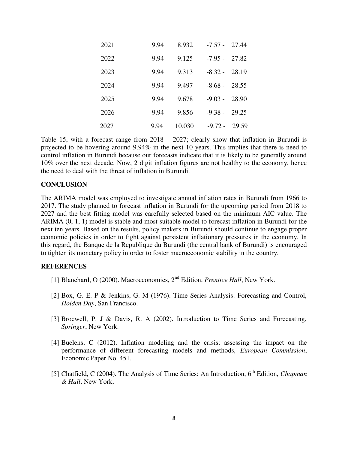| 2021 | 9.94 | 8.932  | $-7.57 -$       | 27.44 |
|------|------|--------|-----------------|-------|
| 2022 | 9.94 | 9.125  | $-7.95 -$       | 27.82 |
| 2023 | 9.94 | 9.313  | $-8.32 - 28.19$ |       |
| 2024 | 9.94 | 9.497  | $-8.68 -$       | 28.55 |
| 2025 | 9.94 | 9.678  | $-9.03 -$       | 28.90 |
| 2026 | 9.94 | 9.856  | $-9.38 -$       | 29.25 |
| 2027 | 9.94 | 10.030 | -9.72 -         | 29.59 |

Table 15, with a forecast range from 2018 – 2027; clearly show that inflation in Burundi is projected to be hovering around 9.94% in the next 10 years. This implies that there is need to control inflation in Burundi because our forecasts indicate that it is likely to be generally around 10% over the next decade. Now, 2 digit inflation figures are not healthy to the economy, hence the need to deal with the threat of inflation in Burundi.

#### **CONCLUSION**

The ARIMA model was employed to investigate annual inflation rates in Burundi from 1966 to 2017. The study planned to forecast inflation in Burundi for the upcoming period from 2018 to 2027 and the best fitting model was carefully selected based on the minimum AIC value. The ARIMA (0, 1, 1) model is stable and most suitable model to forecast inflation in Burundi for the next ten years. Based on the results, policy makers in Burundi should continue to engage proper economic policies in order to fight against persistent inflationary pressures in the economy. In this regard, the Banque de la Republique du Burundi (the central bank of Burundi) is encouraged to tighten its monetary policy in order to foster macroeconomic stability in the country.

#### **REFERENCES**

- [1] Blanchard, O (2000). Macroeconomics, 2<sup>nd</sup> Edition, *Prentice Hall*, New York.
- [2] Box, G. E. P & Jenkins, G. M (1976). Time Series Analysis: Forecasting and Control, *Holden Day*, San Francisco.
- [3] Brocwell, P. J & Davis, R. A (2002). Introduction to Time Series and Forecasting, *Springer*, New York.
- [4] Buelens, C (2012). Inflation modeling and the crisis: assessing the impact on the performance of different forecasting models and methods, *European Commission*, Economic Paper No. 451.
- [5] Chatfield, C (2004). The Analysis of Time Series: An Introduction, 6<sup>th</sup> Edition, *Chapman & Hall*, New York.